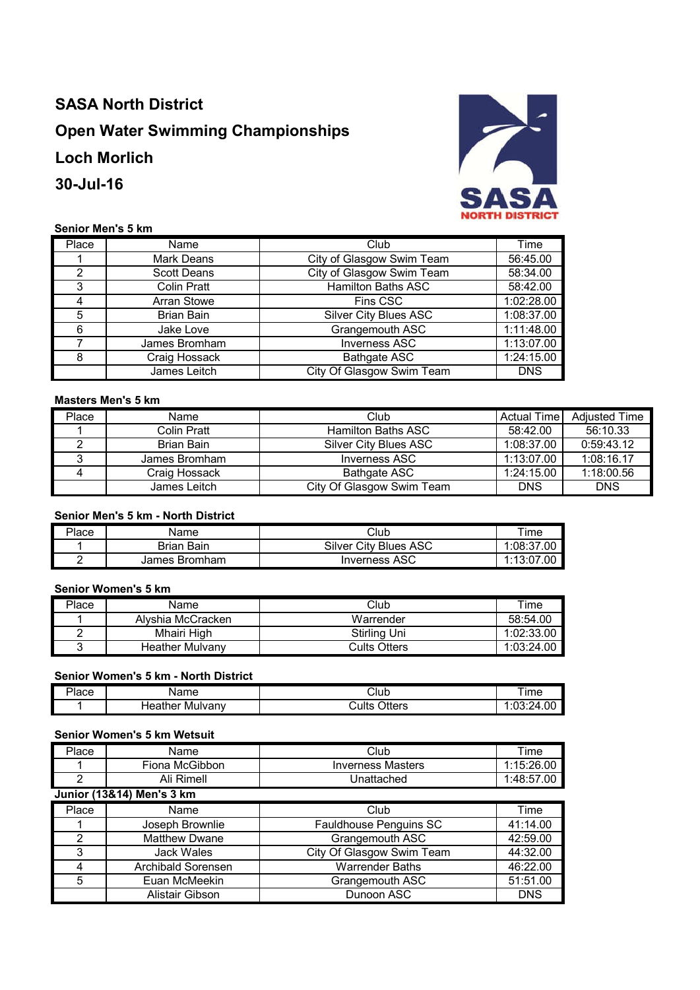# **SASA North District Open Water Swimming Championships Loch Morlich 30-Jul-16**



## **Senior Men's 5 km**

| Place | Name               | Club                         | Time       |
|-------|--------------------|------------------------------|------------|
|       | Mark Deans         | City of Glasgow Swim Team    | 56:45.00   |
| 2     | <b>Scott Deans</b> | City of Glasgow Swim Team    | 58:34.00   |
| 3     | Colin Pratt        | <b>Hamilton Baths ASC</b>    | 58:42.00   |
|       | <b>Arran Stowe</b> | Fins CSC                     | 1:02:28.00 |
| 5     | <b>Brian Bain</b>  | <b>Silver City Blues ASC</b> | 1:08:37.00 |
| 6     | Jake Love          | Grangemouth ASC              | 1:11:48.00 |
|       | James Bromham      | <b>Inverness ASC</b>         | 1:13:07.00 |
| 8     | Craig Hossack      | <b>Bathgate ASC</b>          | 1:24:15.00 |
|       | James Leitch       | City Of Glasgow Swim Team    | <b>DNS</b> |

## **Masters Men's 5 km**

| Place | Name          | Club                      | Actual Time | <b>Adiusted Time</b> |
|-------|---------------|---------------------------|-------------|----------------------|
|       | Colin Pratt   | Hamilton Baths ASC        | 58:42.00    | 56:10.33             |
|       | Brian Bain    | Silver City Blues ASC     | 1:08:37.00  | 0:59:43.12           |
|       | James Bromham | Inverness ASC             | 1:13:07.00  | 1:08:16.17           |
|       | Craig Hossack | <b>Bathgate ASC</b>       | 1:24:15.00  | 1:18:00.56           |
|       | James Leitch  | City Of Glasgow Swim Team | <b>DNS</b>  | <b>DNS</b>           |

#### **Senior Men's 5 km - North District**

| Place | Name              | Club                         | $\tau$ ime      |
|-------|-------------------|------------------------------|-----------------|
|       | <b>Brian Bain</b> | <b>Silver City Blues ASC</b> | 1:08:37.00      |
|       | James Bromham     | <b>Inverness ASC</b>         | 1:13:07<br>7.00 |

#### **Senior Women's 5 km**

| Place | Name                   | Club         | Time       |
|-------|------------------------|--------------|------------|
|       | Alvshia McCracken      | Warrender    | 58:54.00   |
|       | Mhairi High            | Stirling Uni | 1:02:33.00 |
|       | <b>Heather Mulvany</b> | Cults Otters | 1:03:24.00 |

#### **Senior Women's 5 km - North District**

| ים<br>'lace | ame                    | Club            | ıme                     |
|-------------|------------------------|-----------------|-------------------------|
|             | . teather ∶<br>Mulvanv | Otters<br>Cults | . . ^ ^ . ^<br>, л<br>. |

#### **Senior Women's 5 km Wetsuit**

| Place | Name                      | Club                      | Time       |
|-------|---------------------------|---------------------------|------------|
|       | Fiona McGibbon            | <b>Inverness Masters</b>  | 1:15:26.00 |
| 2     | Ali Rimell                | Unattached                | 1:48:57.00 |
|       | Junior (13&14) Men's 3 km |                           |            |
| Place | Name                      | Club                      | Time       |
|       | Joseph Brownlie           | Fauldhouse Penguins SC    | 41:14.00   |
| 2     | <b>Matthew Dwane</b>      | Grangemouth ASC           | 42:59.00   |
| 3     | Jack Wales                | City Of Glasgow Swim Team | 44:32.00   |
| 4     | <b>Archibald Sorensen</b> | <b>Warrender Baths</b>    | 46:22.00   |
| 5     | Euan McMeekin             | Grangemouth ASC           | 51:51.00   |
|       | Alistair Gibson           | Dunoon ASC                | <b>DNS</b> |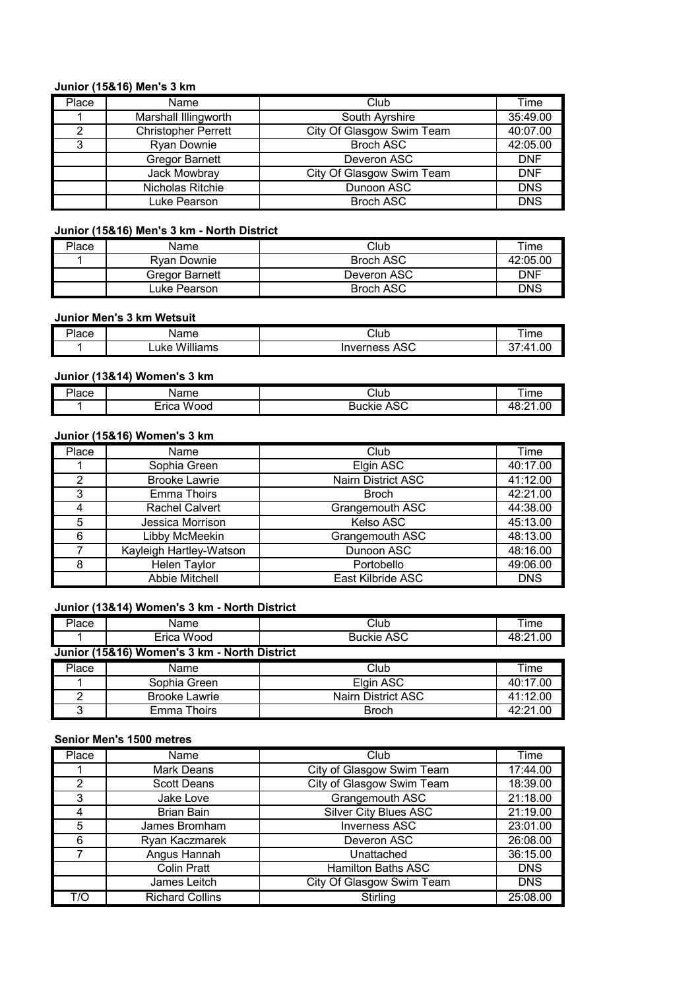#### **Junior (15&16) Men's 3 km**

| Place | Name                       | Club                      | Time       |
|-------|----------------------------|---------------------------|------------|
|       | Marshall Illingworth       | South Ayrshire            | 35:49.00   |
| ⌒     | <b>Christopher Perrett</b> | City Of Glasgow Swim Team | 40:07.00   |
| 3     | <b>Ryan Downie</b>         | <b>Broch ASC</b>          | 42:05.00   |
|       | <b>Gregor Barnett</b>      | Deveron ASC               | <b>DNF</b> |
|       | Jack Mowbray               | City Of Glasgow Swim Team | <b>DNF</b> |
|       | Nicholas Ritchie           | Dunoon ASC                | <b>DNS</b> |
|       | Luke Pearson               | <b>Broch ASC</b>          | <b>DNS</b> |

## **Junior (15&16) Men's 3 km - North District**

| Place | Name           | Club             | Гіmе     |
|-------|----------------|------------------|----------|
|       | Rvan Downie    | <b>Broch ASC</b> | 42:05.00 |
|       | Gregor Barnett | Deveron ASC      | DNF      |
|       | uke Pearson.   | <b>Broch ASC</b> | DNS      |

## **Junior Men's 3 km Wetsuit**

| $\overline{\phantom{a}}$<br>300<br>iaut | $\sim$ $\sim$<br>не            | Club                       | Im <sub>e</sub> |
|-----------------------------------------|--------------------------------|----------------------------|-----------------|
|                                         | .<br>w<br>.<br>uke<br>/IIIIams | $\sim$<br>Inverness<br>ASC | 00<br>. л       |

# **Junior (13&14) Women's 3 km**

| -<br>'lace | $\sim$<br>пе      | Club                | ıme  |
|------------|-------------------|---------------------|------|
|            | –<br>Wood<br>rica | $\sim$<br>ou<br>טרי | 1.OC |

## **Junior (15&16) Women's 3 km**

| Place         | Name                    | Club                      | Time       |
|---------------|-------------------------|---------------------------|------------|
|               | Sophia Green            | Elgin ASC                 | 40:17.00   |
| $\mathcal{P}$ | <b>Brooke Lawrie</b>    | <b>Nairn District ASC</b> | 41:12.00   |
| 3             | Emma Thoirs             | <b>Broch</b>              | 42:21.00   |
|               | <b>Rachel Calvert</b>   | Grangemouth ASC           | 44:38.00   |
| 5             | Jessica Morrison        | Kelso ASC                 | 45:13.00   |
| 6             | Libby McMeekin          | Grangemouth ASC           | 48:13.00   |
|               | Kayleigh Hartley-Watson | Dunoon ASC                | 48:16.00   |
| 8             | <b>Helen Taylor</b>     | Portobello                | 49:06.00   |
|               | Abbie Mitchell          | East Kilbride ASC         | <b>DNS</b> |

#### **Junior (13&14) Women's 3 km - North District**

| Place | Name                                         | Club               | Time     |
|-------|----------------------------------------------|--------------------|----------|
|       | Erica Wood                                   | <b>Buckie ASC</b>  | 48:21.00 |
|       | Junior (15&16) Women's 3 km - North District |                    |          |
| Place | Name                                         | Club               | Time     |
|       | Sophia Green                                 | Elgin ASC          | 40:17.00 |
|       | <b>Brooke Lawrie</b>                         | Nairn District ASC | 41:12.00 |
|       | Emma Thoirs                                  | <b>Broch</b>       | 42:21.00 |

## **Senior Men's 1500 metres**

| Place | Name                   | Club                         | Time       |
|-------|------------------------|------------------------------|------------|
|       | Mark Deans             | City of Glasgow Swim Team    | 17:44.00   |
| 2     | <b>Scott Deans</b>     | City of Glasgow Swim Team    | 18:39.00   |
| 3     | Jake Love              | Grangemouth ASC              | 21:18.00   |
|       | <b>Brian Bain</b>      | <b>Silver City Blues ASC</b> | 21:19.00   |
| 5     | James Bromham          | <b>Inverness ASC</b>         | 23:01.00   |
| 6     | Ryan Kaczmarek         | Deveron ASC                  | 26:08.00   |
|       | Angus Hannah           | Unattached                   | 36:15.00   |
|       | Colin Pratt            | <b>Hamilton Baths ASC</b>    | <b>DNS</b> |
|       | James Leitch           | City Of Glasgow Swim Team    | <b>DNS</b> |
| T/O   | <b>Richard Collins</b> | Stirling                     | 25:08.00   |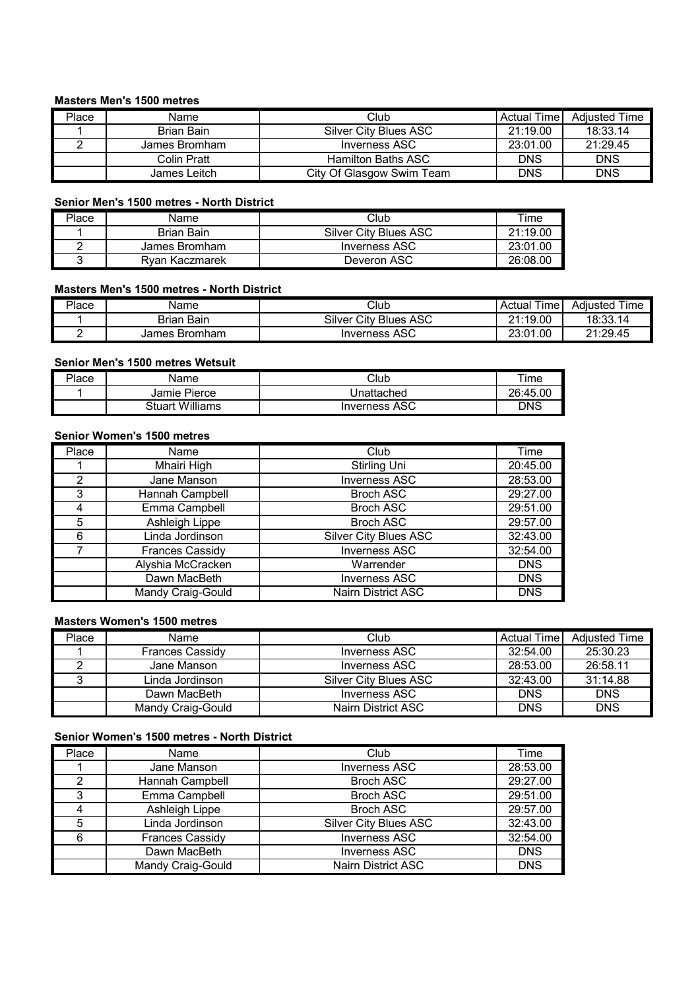## **Masters Men's 1500 metres**

| Place | Name          | Club                      | Actual Time | <b>Adiusted Time</b> |
|-------|---------------|---------------------------|-------------|----------------------|
|       | Brian Bain    | Silver City Blues ASC     | 21:19.00    | 18:33.14             |
|       | James Bromham | Inverness ASC             | 23:01.00    | 21:29.45             |
|       | Colin Pratt   | <b>Hamilton Baths ASC</b> | <b>DNS</b>  | <b>DNS</b>           |
|       | James Leitch  | City Of Glasgow Swim Team | DNS         | <b>DNS</b>           |

#### **Senior Men's 1500 metres - North District**

| Place | Name              | Club                  | Time     |
|-------|-------------------|-----------------------|----------|
|       | <b>Brian Bain</b> | Silver City Blues ASC | 21:19.00 |
|       | James Bromham     | Inverness ASC         | 23:01.00 |
|       | Rvan Kaczmarek    | Deveron ASC           | 26:08.00 |

## **Masters Men's 1500 metres - North District**

| Place | Name                    | Club                             | $- \cdot$<br><sub>I</sub> me<br>Actual | Time<br>Adiusted |
|-------|-------------------------|----------------------------------|----------------------------------------|------------------|
|       | Brian<br>Bain           | Silver<br>ASC<br>∵Citv<br>Blues, | 21:19.00                               | 18:33.14         |
|       | James<br><b>Bromham</b> | <b>Inverness ASC</b>             | .00<br>23:01                           | 21:29.45         |

#### **Senior Men's 1500 metres Wetsuit**

| Place | Name            | Club                 | ıme      |
|-------|-----------------|----------------------|----------|
|       | Jamie Pierce    | Jnattached           | 26:45.00 |
|       | Stuart Williams | <b>Inverness ASC</b> | DNS      |

## **Senior Women's 1500 metres**

| Place         | Name                   | Club                         | Time       |
|---------------|------------------------|------------------------------|------------|
|               | Mhairi High            | Stirling Uni                 | 20:45.00   |
| $\mathcal{P}$ | Jane Manson            | <b>Inverness ASC</b>         | 28:53.00   |
| 3             | Hannah Campbell        | <b>Broch ASC</b>             | 29:27.00   |
|               | Emma Campbell          | <b>Broch ASC</b>             | 29:51.00   |
| 5             | Ashleigh Lippe         | <b>Broch ASC</b>             | 29:57.00   |
| 6             | Linda Jordinson        | <b>Silver City Blues ASC</b> | 32:43.00   |
|               | <b>Frances Cassidy</b> | <b>Inverness ASC</b>         | 32:54.00   |
|               | Alyshia McCracken      | Warrender                    | <b>DNS</b> |
|               | Dawn MacBeth           | <b>Inverness ASC</b>         | <b>DNS</b> |
|               | Mandy Craig-Gould      | <b>Nairn District ASC</b>    | <b>DNS</b> |

#### **Masters Women's 1500 metres**

| Place | Name                   | Club                  | <b>Actual Time</b> | <b>Adiusted Time</b> |
|-------|------------------------|-----------------------|--------------------|----------------------|
|       | <b>Frances Cassidy</b> | Inverness ASC         | 32:54.00           | 25:30.23             |
|       | Jane Manson            | Inverness ASC         | 28:53.00           | 26:58.11             |
|       | Linda Jordinson        | Silver City Blues ASC | 32:43.00           | 31:14.88             |
|       | Dawn MacBeth           | Inverness ASC         | <b>DNS</b>         | <b>DNS</b>           |
|       | Mandy Craig-Gould      | Nairn District ASC    | <b>DNS</b>         | <b>DNS</b>           |

#### **Senior Women's 1500 metres - North District**

| Place | Name                   | Club                         | Time       |
|-------|------------------------|------------------------------|------------|
|       | Jane Manson            | <b>Inverness ASC</b>         | 28:53.00   |
|       | Hannah Campbell        | <b>Broch ASC</b>             | 29:27.00   |
|       | Emma Campbell          | <b>Broch ASC</b>             | 29:51.00   |
|       | Ashleigh Lippe         | <b>Broch ASC</b>             | 29:57.00   |
|       | Linda Jordinson        | <b>Silver City Blues ASC</b> | 32:43.00   |
|       | <b>Frances Cassidy</b> | <b>Inverness ASC</b>         | 32:54.00   |
|       | Dawn MacBeth           | <b>Inverness ASC</b>         | <b>DNS</b> |
|       | Mandy Craig-Gould      | Nairn District ASC           | <b>DNS</b> |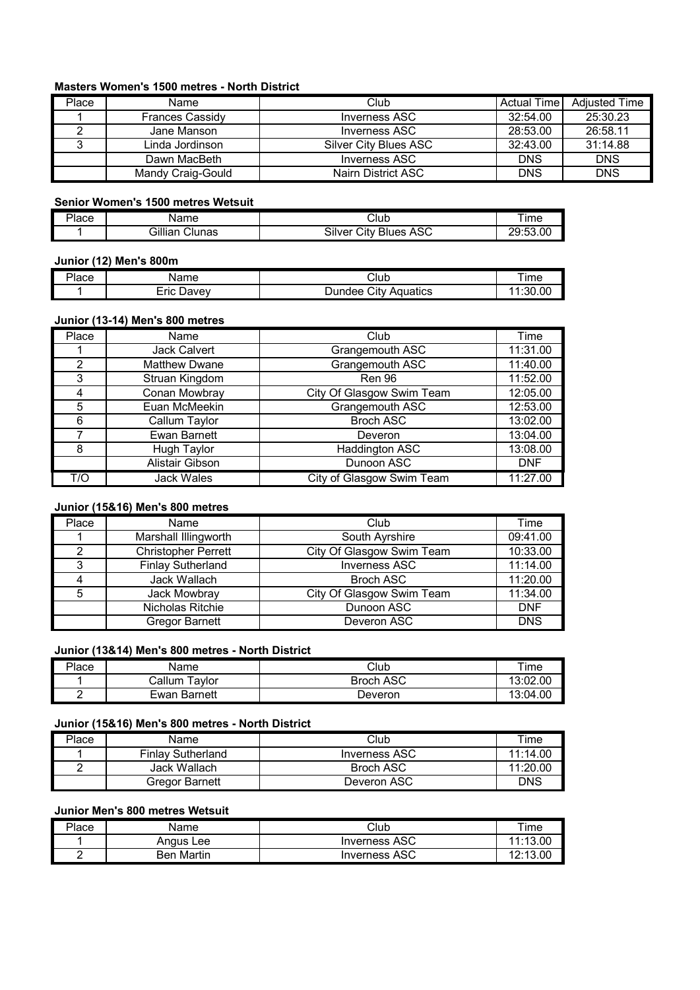## **Masters Women's 1500 metres - North District**

| Place | Name                   | Club                  | <b>Actual Time</b> | <b>Adiusted Time</b> |
|-------|------------------------|-----------------------|--------------------|----------------------|
|       | <b>Frances Cassidy</b> | Inverness ASC         | 32:54.00           | 25:30.23             |
|       | Jane Manson            | Inverness ASC         | 28:53.00           | 26:58.11             |
|       | Linda Jordinson        | Silver City Blues ASC | 32:43.00           | 31:14.88             |
|       | Dawn MacBeth           | Inverness ASC         | <b>DNS</b>         | <b>DNS</b>           |
|       | Mandy Craig-Gould      | Nairn District ASC    | <b>DNS</b>         | <b>DNS</b>           |

#### **Senior Women's 1500 metres Wetsuit**

| 'lace | √ame                 | Club                                 | <b>Ime</b>                 |
|-------|----------------------|--------------------------------------|----------------------------|
|       | Gillian<br>$C$ lunas | -<br><b>Blues ASC</b><br>Citv<br>انڌ | 53.00٪<br>∩∩.<br>. .<br>∸ິ |

#### **Junior (12) Men's 800m**

| ירי   | $\sim$ $\sim$             |                                   | ıme    |
|-------|---------------------------|-----------------------------------|--------|
| 'lace | ле                        | الٽ.                              |        |
|       | - -<br><br>≀avev<br>.-rıc | . .<br>ùt∨:<br>Aquatics<br>∵indee | :30.00 |

#### **Junior (13-14) Men's 800 metres**

| Place         | Name                   | Club                      | Time       |
|---------------|------------------------|---------------------------|------------|
|               | <b>Jack Calvert</b>    | Grangemouth ASC           | 11:31.00   |
| $\mathcal{P}$ | <b>Matthew Dwane</b>   | Grangemouth ASC           | 11:40.00   |
| 3             | Struan Kingdom         | Ren 96                    | 11:52.00   |
|               | Conan Mowbray          | City Of Glasgow Swim Team | 12:05.00   |
| 5             | Euan McMeekin          | Grangemouth ASC           | 12:53.00   |
| 6             | Callum Taylor          | <b>Broch ASC</b>          | 13:02.00   |
|               | <b>Ewan Barnett</b>    | <b>Deveron</b>            | 13:04.00   |
| 8             | <b>Hugh Taylor</b>     | Haddington ASC            | 13:08.00   |
|               | <b>Alistair Gibson</b> | Dunoon ASC                | <b>DNF</b> |
| T/O           | <b>Jack Wales</b>      | City of Glasgow Swim Team | 11:27.00   |

## **Junior (15&16) Men's 800 metres**

| Place | Name                       | Club                      | Time       |
|-------|----------------------------|---------------------------|------------|
|       | Marshall Illingworth       | South Ayrshire            | 09:41.00   |
| ⌒     | <b>Christopher Perrett</b> | City Of Glasgow Swim Team | 10:33.00   |
| 3     | <b>Finlay Sutherland</b>   | <b>Inverness ASC</b>      | 11:14.00   |
|       | Jack Wallach               | <b>Broch ASC</b>          | 11:20.00   |
| 5     | Jack Mowbray               | City Of Glasgow Swim Team | 11:34.00   |
|       | Nicholas Ritchie           | Dunoon ASC                | <b>DNF</b> |
|       | <b>Gregor Barnett</b>      | Deveron ASC               | <b>DNS</b> |

#### **Junior (13&14) Men's 800 metres - North District**

| Place | Name                    | Club             | $\tau$ ime |
|-------|-------------------------|------------------|------------|
|       | Callum<br>avlor         | <b>Broch ASC</b> | 13:02.00   |
| -     | <b>Barnett</b><br>⊢Ewan | Jeveron          | 13:04.00   |

#### **Junior (15&16) Men's 800 metres - North District**

| Place | Name                     | Club                 | Time     |
|-------|--------------------------|----------------------|----------|
|       | <b>Finlay Sutherland</b> | <b>Inverness ASC</b> | 11:14.00 |
|       | Jack Wallach             | <b>Broch ASC</b>     | 11:20.00 |
|       | Gregor Barnett           | Deveron ASC          | DNS      |

## **Junior Men's 800 metres Wetsuit**

| יר<br>⊍lace | Name          | Club                 | īme               |
|-------------|---------------|----------------------|-------------------|
|             | Anaus<br>∟ee  | <b>Inverness ASC</b> | .40<br>nn.        |
| -           | Martin<br>Ren | <b>Inverness ASC</b> | 10.10<br>nn.<br>. |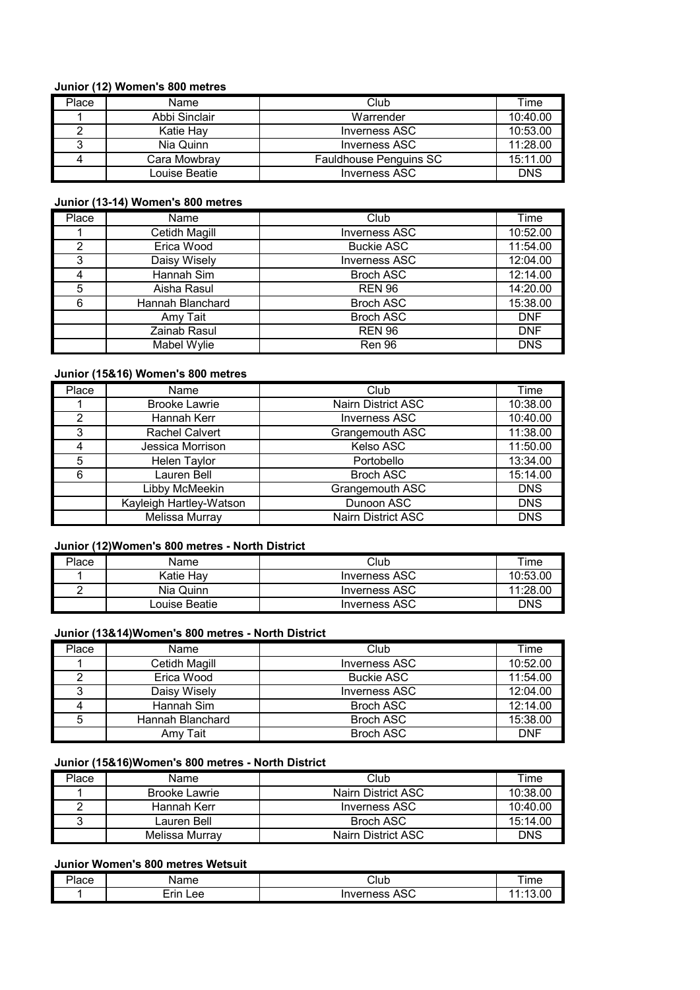#### **Junior (12) Women's 800 metres**

| Place | Name          | Club                          | Time       |
|-------|---------------|-------------------------------|------------|
|       | Abbi Sinclair | Warrender                     | 10:40.00   |
|       | Katie Hav     | <b>Inverness ASC</b>          | 10:53.00   |
|       | Nia Quinn     | Inverness ASC                 | 11:28.00   |
|       | Cara Mowbray  | <b>Fauldhouse Penguins SC</b> | 15:11.00   |
|       | Louise Beatie | <b>Inverness ASC</b>          | <b>DNS</b> |

#### **Junior (13-14) Women's 800 metres**

| Place         | Name                 | Club                 | Time       |
|---------------|----------------------|----------------------|------------|
|               | <b>Cetidh Magill</b> | <b>Inverness ASC</b> | 10:52.00   |
| $\mathcal{P}$ | Erica Wood           | <b>Buckie ASC</b>    | 11:54.00   |
| 3             | Daisy Wisely         | <b>Inverness ASC</b> | 12:04.00   |
|               | Hannah Sim           | <b>Broch ASC</b>     | 12:14.00   |
| 5             | Aisha Rasul          | <b>REN 96</b>        | 14:20.00   |
| 6             | Hannah Blanchard     | <b>Broch ASC</b>     | 15:38.00   |
|               | Amy Tait             | <b>Broch ASC</b>     | <b>DNF</b> |
|               | Zainab Rasul         | <b>REN 96</b>        | <b>DNF</b> |
|               | Mabel Wylie          | Ren 96               | <b>DNS</b> |

## **Junior (15&16) Women's 800 metres**

| Place         | Name                    | Club                      | Time       |
|---------------|-------------------------|---------------------------|------------|
|               | <b>Brooke Lawrie</b>    | <b>Nairn District ASC</b> | 10:38.00   |
| $\mathcal{P}$ | Hannah Kerr             | <b>Inverness ASC</b>      | 10:40.00   |
| 3             | <b>Rachel Calvert</b>   | Grangemouth ASC           | 11:38.00   |
|               | Jessica Morrison        | Kelso ASC                 | 11:50.00   |
| 5             | <b>Helen Taylor</b>     | Portobello                | 13:34.00   |
| 6             | Lauren Bell             | <b>Broch ASC</b>          | 15:14.00   |
|               | Libby McMeekin          | Grangemouth ASC           | <b>DNS</b> |
|               | Kayleigh Hartley-Watson | Dunoon ASC                | <b>DNS</b> |
|               | Melissa Murray          | <b>Nairn District ASC</b> | <b>DNS</b> |

#### **Junior (12)Women's 800 metres - North District**

| Place | Name          | Club                 | Time     |
|-------|---------------|----------------------|----------|
|       | Katie Hav     | <b>Inverness ASC</b> | 10:53.00 |
|       | Nia Quinn     | <b>Inverness ASC</b> | 11:28.00 |
|       | Louise Beatie | Inverness ASC        | DNS      |

# **Junior (13&14)Women's 800 metres - North District**

| Place | Name             | Club                 | Time       |
|-------|------------------|----------------------|------------|
|       | Cetidh Magill    | Inverness ASC        | 10:52.00   |
|       | Erica Wood       | <b>Buckie ASC</b>    | 11:54.00   |
|       | Daisy Wisely     | <b>Inverness ASC</b> | 12:04.00   |
|       | Hannah Sim       | <b>Broch ASC</b>     | 12:14.00   |
| 5     | Hannah Blanchard | <b>Broch ASC</b>     | 15:38.00   |
|       | Amv Tait         | <b>Broch ASC</b>     | <b>DNF</b> |

#### **Junior (15&16)Women's 800 metres - North District**

| Place | Name                 | Club               | Time     |
|-------|----------------------|--------------------|----------|
|       | <b>Brooke Lawrie</b> | Nairn District ASC | 10:38.00 |
|       | Hannah Kerr          | Inverness ASC      | 10:40.00 |
|       | Lauren Bell          | Broch ASC          | 15:14.00 |
|       | Melissa Murrav       | Nairn District ASC | DNS      |

# **Junior Women's 800 metres Wetsuit**

| -<br>'lace | $\sim$<br>$\blacksquare$ | ાૈub                        | Ime     |
|------------|--------------------------|-----------------------------|---------|
|            | <b>rin</b><br>∟ee        | $\sim$<br>Inverness<br>AJU. | $\cdot$ |